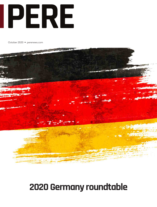

October 2020 • perenews.com



# **2020 Germany roundtable**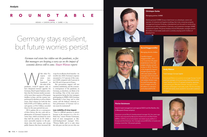

## **ROUNDTABLE**

*German real estate has ridden out the pandemic, so far. But managers are keeping a wary eye on the impact of economic distress still to come. Stuart Watson reports*

While other European real<br>
estate marries et de la pandemic, covid-19 appears only to<br>
pandemic, covid-19 appears only to ropean real estate markets have foundered in the wake of the

# Germany stays resilient, but future worries persist

have sharpened investor appetite for Germany. Real Capital Analytics calculates that the German market accounted for more than a quarter of European dealflow in June, and the country outperformed in absolute as well as relative terms. Deal volumes for both the first half of 2020, at  $\epsilon$ 35 billion, and the second quarter, at €16.2 billion, exceeded those for the same periods last year.

RCA explains this as a consequence of three factors: the size, scale and sophistication of Germany's domestic investor base, which accounted for more than half the activity in H1 2020; a more successful response to the pandemic than rival nations; and strong public finances that have increased the

scope for an effective fiscal stimulus – six months into 2020, Germany's response amounted to 13.3 percent of the country's GDP, compared with 8 percent in the UK and 4.4 percent in France.

But government support will not continue indefinitely, and the economic consequences of the pandemic, in Germany, as elsewhere, are likely to be far-reaching. One of the most pressing questions facing the four managers participating in *PERE*'s 2020 Germany Roundtable is how long, and to what extent, will the hitherto relatively robust performance of German real estate assets be maintained?

### **Low visibility of virus impact**

"That is a difficult question to answer because at the moment it is a bit of a black box," muses Florian Geistmann, head of asset management at Munich-headquartered manager GLL. "Warren Buffet said it is only when the tide goes out that you see who was



**SPONSORS** ARDIAN • EUROPA CAPITAL • GARBE • GLL

### **Christoper Garbe**

Managing partner, GARBE

Hamburg-based GARBE Group is best known as a developer, owner and operator of industrial and logistics buildings. But it also comprises property management business Fontenay, a development arm focused on constructing residential and office properties in Germany, and investment manager GARBE Institutional Capital. The group employs around 230 people, manages around €5.5 billion of real estate assets and is currently carrying out €1.5 billion of development.

### **Andy Watson**

### Fund manager, Europa Capital

Paris-based Watson is a partner at manager Europa Capital and fund manager of its core Europa Diversified Income Fund. The firm, which is 75 percent owned by Japanese institutional giant Mitsubishi Estates, manages around





Managing director, Ardian

Frankfurt-based Haggenmüller, who has more than 20 years' experience in the real estate industry, joined Ardian in 2016. The firm is the largest European private equity house with total assets under management of around €100 billion. Its 30-strong formed five years ago and manages around €2 billion in core-plus and value-add funds.

### **Florian Geistmann**

Head of asset management and regional DACH and the Nordics, GLL (a Macquarie Group company)

Geistmann joined Munich-headquartered manager GLL four years ago. The firm was acquired by Macquarie Infrastructure and Real Assets (MIRA) in 2018 to act as its European real estate equity platform in Europe and the Americas. GLL manages around €8 billion of assets and employs more than 150 people globally.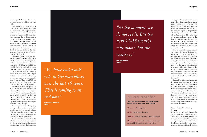swimming naked, and at the moment the government is holding the water back."

The participants' assessments of their success in collecting rents since the onset of the virus appears to vin dicate the government response and speak to the relative health of the Ger man economy. Bernd Haggenmüller, managing director at private equity firm Ardian, pegs the collection rate across its office portfolio at 96 percent, with the delayed 4 percent expected to be repaid with interest. Geistmann says GLL's figures are similar in the office segment, while 100 percent of logistics rents have been paid.

Christoper Garbe, managing part ner of GARBE Industrial Real Estate, which oversees a  $€3.5$  billion portfolio in the segment, adds that in a survey of its tenants only 18 percent said it was possible that they might ask for a rent reduction. "About 10 percent did ask if they could reduce the rent. But only half of them actually did it. So, 3-5 per cent took the opportunity of reducing the rent under the government restric tion. But most of them were SMEs and start-ups. Not one of our larger estab lished tenants have done it," he says.

Andy Watson, fund manager at Eu ropa Capital, has been favorably sur prised by the resilience of the German market. "There were some real worries about tailspin in March that have not come to pass. The resilience of our core fund, in particular, has been pleas ing, with tenants paying over 99 per cent of the rent," he says.

However, he concedes that gauging the impact of the pandemic on occupier stability over the longer run is difficult. "We have no visibility. So we adopt the common sense asset management ap proach of talking to the tenants."

He reveals that Europa has also adopted a proptech tool designed to provide an early warning when tenants default on payments to their suppliers.

*"We have had a bull ride in German offices over the last 10 years. That is coming to an end now"* 

**BERND HAGGENMÜLLER Ardian**

*"At the moment, we do not see it. But the next 12-18 months will show what the reality is"* 

**CHRISTOPER GARBE GARBE**

Haggenmüller says that while Ger many's short-time work scheme, under which the state tops up the wages of workers whose hours have been re duced, has functioned very well so far, the economic impact of the pandemic will be significant nonetheless. "We will still be affected by this in all aspects of our economy, just as we were in the financial crisis. We hope this crisis will not go on too long and the impact will not be too hard. But if you look at what is happening in the US, there is reason to be pessimistic."

A major economic downturn could even impact the popular logistics sec tor, says Garbe. "At the moment, we do not see it. But the next 12-18 months will show what the reality is. Car indus try suppliers are under scrutiny. Every body expects manufacturing to suffer most. But, in reality, manufacturing tenants are still signing leases at the moment. There is no clear picture of what is happening. We will observe the market closely and talk to our tenants, keeping a close watch on rental collec tion rates."

Demand for office space has already diminished, says Haggenmüller. "Takeup in the first half of 2020 was about one-third below the 2019 figure. But, if you look at the second quarter in iso lation it was 50 percent down on 2019. We have had a bull ride in German offices over the last 10 years with tenants catering for their expansion programs. That is coming to an end now. Occupi ers are asking themselves twice if they want to expand or not."

### **Domestic capital winning the day**

Reflecting on continued demand for German real estate, Geistmann says: "With only low interest available on fixed-income, we are still seeing inves tors expanding their real estate portfo lios. Return spreads have been main tained through the crisis, and, as such,

**Geistmann:** City logistics.

**Garbe:** Logistics development.

**Watson:** Last-mile logistics is a good 10-year bet.

**Haggenmüller:** I would wait for opportunities in the next 12-18 months in value-add offices.

**Your last euro – would the participants invest theirs now, and if so, where?**

### Buy sheds, or hold fire?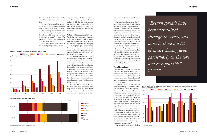suggests Watson. "There is often a need for a certain group of decision makers to visit the real estate and, for the moment, they cannot always do that. There is an obvious trend of domestic capital winning the day at the moment."

### **Value-add transactions falling**

While Germany is attractive compared with other European markets, strong capital demand is not evenly replicated across all segments and strategies. The participants agree that although logistics and low-risk office investments retain their popularity, retail and value-add office strategies are a much harder sell to investors.

"For logistics in Germany we are inundated with money at the moment," says Garbe. "We see a real run on the asset class, with multipliers we have not seen before and record pricing because logistics has been seen as a safe haven among asset classes, while Germany is seen as robust, too. The rental growth in logistics in the last two years has been low compared with offices, so I still believe there is some potential for increases and therefore some justification for higher pricing.

"We also raised a discount food retail fund, and those assets have been very robust in the Covid crisis. Fundraising for that was a bit more difficult, however, because investors were

reluctant to back something labeled as retail."

The pandemic has created sharply contrasting demand dynamics between core and value-add office investments, observes Haggenmüller: "Core offices in Germany are extremely resilient. So far, the few transactions we have seen are at similar yields to before the crisis, and if you have exceptionally good tenants you can even command higher prices now because everyone is looking for that kind of product. On the value-add side, the impact of weaker leasing markets is beginning to show. That will eventually have a price impact. But sellers and buyers have not yet adjusted to that new dynamic and, therefore, we see value-add transaction volumes dropping. I wouldn't say the value-add market has come to a standstill. But it has slowed significantly."

there is a lot of equity chasing deals, particularly on the core and core-plus side"

### **The office debate**

While the participants agree that slowing economic growth means shortterm pain for office markets, there is less consensus over whether structural trends accelerated by the pandemic will cause permanent disruption and reduce the need for space.

Geistmann notes that the tech industry was driving a "voracious" hunger for offices before the pandemic. But, since then, examples from the US present a mixed picture, with app Pinterest paying to relinquish a lease in San Francisco, while Facebook has taken a huge new building near New York's Penn Station. "More people may work from home. But you could argue that, to have more flexibility, tenants will need more space so that the need will reach a sustainable level. After six months of working from home, we think people are really seeking the social element that is enabled by offices. As a result, we still believe there are strong fundamentals underpinning office as an investment class."

Haggenmüller also takes a bullish

*"Return spreads have been maintained through the crisis, and, as such, there is a lot of equity chasing deals, particularly on the core and core-plus side"* 

**FLORIAN GEISTMANN**

**GLL**

Pre-covid returns in Germany were highest in the office and industrial sectors, while retail returns





### Germany outstripped other major European markets in H1 2020



He notes that demand in Germany and France has been more resilient than in central and eastern Europe. "That is driven by markets which have lots of domestic capital being stronger through the crisis than markets that do not have as much," he says. "We currently see less international capital looking at those markets."

Travel restrictions have played a role in dampening overseas demand,